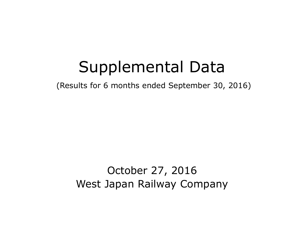# Supplemental Data

(Results for 6 months ended September 30, 2016)

# October 27, 2016 West Japan Railway Company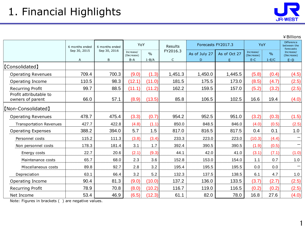1

|                                            |                                                    |              |                         |               |                    |               |              |                         |                                               | ¥ Billions              |
|--------------------------------------------|----------------------------------------------------|--------------|-------------------------|---------------|--------------------|---------------|--------------|-------------------------|-----------------------------------------------|-------------------------|
|                                            | YoY<br>Results<br>6 months ended<br>6 months ended |              |                         |               | Forecasts FY2017.3 |               | YoY          |                         | <b>Difference</b><br>between the<br>forecasts |                         |
|                                            | Sep 30, 2015                                       | Sep 30, 2016 | Increase/<br>(Decrease) | $\frac{0}{0}$ | FY2016.3           | As of July 27 | As of Oct 27 | Increase/<br>(Decrease) | $\frac{0}{0}$                                 | Increase/<br>(Decrease) |
|                                            | A                                                  | B            | $B-A$                   | $1 - B/A$     | $\mathsf{C}$       | D             | E.           | $E-C$                   | $1-E/C$                                       | $E-D$                   |
| [Consolidated]                             |                                                    |              |                         |               |                    |               |              |                         |                                               |                         |
| <b>Operating Revenues</b>                  | 709.4                                              | 700.3        | (9.0)                   | (1.3)         | 1,451.3            | 1,450.0       | 1,445.5      | (5.8)                   | (0.4)                                         | (4.5)                   |
| Operating Income                           | 110.5                                              | 98.3         | (12.1)                  | (11.0)        | 181.5              | 175.5         | 173.0        | (8.5)                   | (4.7)                                         | (2.5)                   |
| <b>Recurring Profit</b>                    | 99.7                                               | 88.5         | (11.1)                  | (11.2)        | 162.2              | 159.5         | 157.0        | (5.2)                   | (3.2)                                         | (2.5)                   |
| Profit attributable to<br>owners of parent | 66.0                                               | 57.1         | (8.9)                   | (13.5)        | 85.8               | 106.5         | 102.5        | 16.6                    | 19.4                                          | (4.0)                   |
| [Non-Consolidated]                         |                                                    |              |                         |               |                    |               |              |                         |                                               |                         |
| <b>Operating Revenues</b>                  | 478.7                                              | 475.4        | (3.3)                   | (0.7)         | 954.2              | 952.5         | 951.0        | (3.2)                   | (0.3)                                         | (1.5)                   |
| <b>Transportation Revenues</b>             | 427.7                                              | 422.8        | (4.8)                   | (1.1)         | 850.0              | 848.5         | 846.0        | (4.0)                   | (0.5)                                         | (2.5)                   |
| <b>Operating Expenses</b>                  | 388.2                                              | 394.0        | 5.7                     | 1.5           | 817.0              | 816.5         | 817.5        | 0.4                     | 0.1                                           | 1.0                     |
| Personnel costs                            | 115.2                                              | 111.3        | (3.8)                   | (3.4)         | 233.3              | 223.0         | 223.0        | (10.3)                  | (4.4)                                         |                         |
| Non personnel costs                        | 178.3                                              | 181.4        | 3.1                     | 1.7           | 392.4              | 390.5         | 390.5        | (1.9)                   | (0.5)                                         | $\qquad \qquad$         |
| Energy costs                               | 22.7                                               | 20.6         | (2.1)                   | (9.3)         | 44.1               | 42.0          | 41.0         | (3.1)                   | (7.1)                                         | (1.0)                   |
| Maintenance costs                          | 65.7                                               | 68.0         | 2.3                     | 3.6           | 152.8              | 153.0         | 154.0        | 1.1                     | 0.7                                           | 1.0                     |
| Miscellaneous costs                        | 89.8                                               | 92.7         | 2.8                     | 3.2           | 195.4              | 195.5         | 195.5        | 0.0                     | 0.0                                           |                         |
| Depreciation                               | 63.1                                               | 66.4         | 3.2                     | 5.2           | 132.3              | 137.5         | 138.5        | 6.1                     | 4.7                                           | 1.0                     |
| Operating Income                           | 90.4                                               | 81.3         | (9.0)                   | (10.0)        | 137.2              | 136.0         | 133.5        | (3.7)                   | (2.7)                                         | (2.5)                   |
| <b>Recurring Profit</b>                    | 78.9                                               | 70.8         | (8.0)                   | (10.2)        | 116.7              | 119.0         | 116.5        | (0.2)                   | (0.2)                                         | (2.5)                   |
| Net Income                                 | 53.4                                               | 46.9         | (6.5)                   | (12.3)        | 61.1               | 82.0          | 78.0         | 16.8                    | 27.6                                          | (4.0)                   |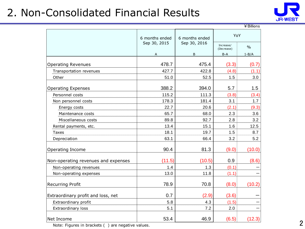### 2. Non-Consolidated Financial Results



|                                     |                |                |                         | ¥ Billions    |  |
|-------------------------------------|----------------|----------------|-------------------------|---------------|--|
|                                     | 6 months ended | 6 months ended |                         |               |  |
|                                     | Sep 30, 2015   | Sep 30, 2016   | Increase/<br>(Decrease) | $\frac{0}{0}$ |  |
|                                     | Α              | B              | $B-A$                   | $1 - B/A$     |  |
| <b>Operating Revenues</b>           | 478.7          | 475.4          | (3.3)                   | (0.7)         |  |
| Transportation revenues             | 427.7          | 422.8          | (4.8)                   | (1.1)         |  |
| Other                               | 51.0           | 52.5           | 1.5                     | 3.0           |  |
| <b>Operating Expenses</b>           | 388.2          | 394.0          | 5.7                     | 1.5           |  |
| Personnel costs                     | 115.2          | 111.3          | (3.8)                   | (3.4)         |  |
| Non personnel costs                 | 178.3          | 181.4          | 3.1                     | 1.7           |  |
| Energy costs                        | 22.7           | 20.6           | (2.1)                   | (9.3)         |  |
| Maintenance costs                   | 65.7           | 68.0           | 2.3                     | 3.6           |  |
| Miscellaneous costs                 | 89.8           | 92.7           | 2.8                     | 3.2           |  |
| Rental payments, etc.               | 13.4           | 15.1           | 1.6                     | 12.5          |  |
| <b>Taxes</b>                        | 18.1           | 19.7           | 1.5                     | 8.7           |  |
| Depreciation                        | 63.1           | 66.4           | 3.2                     | 5.2           |  |
| Operating Income                    | 90.4           | 81.3           | (9.0)                   | (10.0)        |  |
| Non-operating revenues and expenses | (11.5)         | (10.5)         | 0.9                     | (8.6)         |  |
| Non-operating revenues              | 1.4            | 1.3            | (0.1)                   |               |  |
| Non-operating expenses              | 13.0           | 11.8           | (1.1)                   |               |  |
| <b>Recurring Profit</b>             | 78.9           | 70.8           | (8.0)                   | (10.2)        |  |
| Extraordinary profit and loss, net  | 0.7            | (2.9)          | (3.6)                   |               |  |
| Extraordinary profit                | 5.8            | 4.3            | (1.5)                   |               |  |
| Extraordinary loss                  | 5.1            | 7.2            | 2.0                     |               |  |
| Net Income                          | 53.4           | 46.9           | (6.5)                   | (12.3)        |  |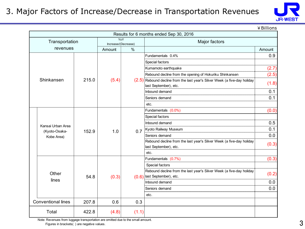#### 3. Major Factors of Increase/Decrease in Transportation Revenues



¥Billions

|  | Results for 6 months ended Sep 30, 2016 |       |                     |       |                                                                              |        |  |  |  |
|--|-----------------------------------------|-------|---------------------|-------|------------------------------------------------------------------------------|--------|--|--|--|
|  | Transportation                          |       | Increase/(Decrease) | YoY   | Major factors                                                                |        |  |  |  |
|  | revenues                                |       | $\%$<br>Amount      |       |                                                                              | Amount |  |  |  |
|  |                                         |       |                     |       | Fundamentals 0.4%                                                            | 0.9    |  |  |  |
|  |                                         |       |                     |       | Special factors                                                              |        |  |  |  |
|  |                                         |       |                     |       | Kumamoto earthquake                                                          | (2.7)  |  |  |  |
|  |                                         |       |                     |       | Rebound decline from the opening of Hokuriku Shinkansen                      | (2.5)  |  |  |  |
|  | Shinkansen                              | 215.0 | (5.4)               |       | $(2.5)$ Rebound decline from the last year's Silver Week (a five-day holiday | (1.8)  |  |  |  |
|  |                                         |       |                     |       | last September), etc.                                                        |        |  |  |  |
|  |                                         |       |                     |       | Inbound demand                                                               | 0.1    |  |  |  |
|  |                                         |       |                     |       | Seniors demand                                                               | 0.1    |  |  |  |
|  |                                         |       |                     |       | etc.                                                                         |        |  |  |  |
|  |                                         | 152.9 | 1.0                 | 0.7   | Fundamentals (0.0%)                                                          | (0.0)  |  |  |  |
|  |                                         |       |                     |       | Special factors                                                              |        |  |  |  |
|  |                                         |       |                     |       | Inbound demand                                                               | 0.5    |  |  |  |
|  | Kansai Urban Area<br>(Kyoto-Osaka-      |       |                     |       | Kyoto Railway Museum                                                         | 0.1    |  |  |  |
|  | Kobe Area)                              |       |                     |       | Seniors demand                                                               | 0.0    |  |  |  |
|  |                                         |       |                     |       | Rebound decline from the last year's Silver Week (a five-day holiday         | (0.3)  |  |  |  |
|  |                                         |       |                     |       | last September), etc.                                                        |        |  |  |  |
|  |                                         |       |                     |       | etc.                                                                         |        |  |  |  |
|  |                                         |       |                     |       | Fundamentals (0.7%)                                                          | (0.3)  |  |  |  |
|  |                                         |       |                     |       | Special factors                                                              |        |  |  |  |
|  | Other                                   |       |                     |       | Rebound decline from the last year's Silver Week (a five-day holiday         | (0.2)  |  |  |  |
|  | lines                                   | 54.8  | (0.3)               |       | (0.6) last September), etc.                                                  |        |  |  |  |
|  |                                         |       |                     |       | Inbound demand                                                               | 0.0    |  |  |  |
|  |                                         |       |                     |       | Seniors demand                                                               | 0.0    |  |  |  |
|  |                                         |       |                     |       | etc.                                                                         |        |  |  |  |
|  | <b>Conventional lines</b>               | 207.8 | 0.6                 | 0.3   |                                                                              |        |  |  |  |
|  | Total                                   | 422.8 | (4.8)               | (1.1) |                                                                              |        |  |  |  |

Note: Revenues from luggage transportation are omitted due to the small amount. Figures in brackets( ) are negative values.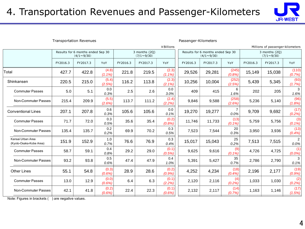### 4. Transportation Revenues and Passenger-Kilometers



| <b>Transportation Revenues</b>               |            |                                                        |                    |          |                                    |                                  |          | Passenger-Kilometers                                   |                  |          |                                    |                        |  |
|----------------------------------------------|------------|--------------------------------------------------------|--------------------|----------|------------------------------------|----------------------------------|----------|--------------------------------------------------------|------------------|----------|------------------------------------|------------------------|--|
|                                              | ¥ Billions |                                                        |                    |          |                                    | Millions of passenger-kilometers |          |                                                        |                  |          |                                    |                        |  |
|                                              |            | Results for 6 months ended Sep 30<br>$(4/1 \sim 9/30)$ |                    |          | 3 months (2Q)<br>$(7/1 \sim 9/30)$ |                                  |          | Results for 6 months ended Sep 30<br>$(4/1 \sim 9/30)$ |                  |          | 3 months (2Q)<br>$(7/1 \sim 9/30)$ |                        |  |
|                                              | FY2016.3   | FY2017.3                                               | YoY                | FY2016.3 | FY2017.3                           | YoY                              | FY2016.3 | FY2017.3                                               | YoY              | FY2016.3 | FY2017.3                           | YoY                    |  |
| Total                                        | 427.7      | 422.8                                                  | (4.8)<br>$(1.1\%)$ | 221.8    | 219.5                              | (2.3)<br>$(1.1\%)$               | 29,526   | 29,281                                                 | (245)<br>(0.8%)  | 15,149   | 15,038                             | (110)<br>(0.7%)        |  |
| Shinkansen                                   | 220.5      | 215.0                                                  | (5.4)<br>(2.5%     | 116.2    | 113.8                              | (2.3)<br>(2.1%)                  | 10,256   | 10,004                                                 | (252)<br>(2.5%)  | 5,439    | 5,345                              | (93)<br>(1.7%)         |  |
| <b>Commuter Passes</b>                       | 5.0        | 5.1                                                    | 0.0<br>0.3%        | 2.5      | 2.6                                | 0.0<br>3.0%                      | 409      | 415                                                    | 6<br>1.6%        | 202      | 205                                | 3<br>1.6%              |  |
| Non-Commuter Passes                          | 215.4      | 209.9                                                  | (5.5)<br>(2.6%)    | 113.7    | 111.2                              | (2.4)<br>(2.2%)                  | 9,846    | 9,588                                                  | (258)<br>(2.6%)  | 5,236    | 5,140                              | (96)<br>(1.8%)         |  |
| <b>Conventional Lines</b>                    | 207.1      | 207.8                                                  | 0.6<br>0.3%        | 105.6    | 105.6                              | 0.0<br>0.1%                      | 19,270   | 19,277                                                 | 7<br>0.0%        | 9,709    | 9,692                              | (17)<br>(0.2%)         |  |
| <b>Commuter Passes</b>                       | 71.7       | 72.0                                                   | 0.3<br>0.5%        | 35.6     | 35.4                               | (0.2)<br>(0.8%)                  | 11,746   | 11,733                                                 | (13)<br>(0.1%    | 5,759    | 5,756                              | (3)<br>$(0.1\%)$       |  |
| Non-Commuter Passes                          | 135.4      | 135.7                                                  | 0.2<br>0.2%        | 69.9     | 70.2                               | 0.3<br>0.5%                      | 7,523    | 7,544                                                  | 20<br>0.3%       | 3,950    | 3,936                              | (13)<br>(0.4%)         |  |
| Kansai Urban Area<br>(Kyoto-Osaka-Kobe Area) | 151.9      | 152.9                                                  | 1.0<br>0.7%        | 76.6     | 76.9                               | 0.3<br>0.4%                      | 15,017   | 15,043                                                 | 25<br>0.2%       | 7,513    | 7,515                              | $\overline{2}$<br>0.0% |  |
| <b>Commuter Passes</b>                       | 58.7       | 59.1                                                   | 0.4<br>0.8%        | 29.2     | 29.0                               | (0.1)<br>(0.5%)                  | 9,625    | 9,616                                                  | (9)<br>$(0.1\%)$ | 4,726    | 4,725                              | (1)<br>$(0.0\%)$       |  |
| Non-Commuter Passes                          | 93.2       | 93.8                                                   | 0.5<br>0.6%        | 47.4     | 47.9                               | 0.4<br>1.0%                      | 5,391    | 5,427                                                  | 35<br>0.7%       | 2,786    | 2,790                              | 3<br>0.1%              |  |
| <b>Other Lines</b>                           | 55.1       | 54.8                                                   | (0.3)<br>(0.6%     | 28.9     | 28.6                               | (0.2)<br>(0.9%                   | 4,252    | 4,234                                                  | (18)<br>(0.4%)   | 2,196    | 2,177                              | (19)<br>(0.9%          |  |
| <b>Commuter Passes</b>                       | 13.0       | 12.9                                                   | (0.0)<br>(0.6%     | 6.4      | 6.3                                | (0.1)<br>(2.2%)                  | 2,120    | 2,116                                                  | (4)<br>(0.2%)    | 1,033    | 1,030                              | (2)<br>(0.2%)          |  |
| Non-Commuter Passes                          | 42.1       | 41.8                                                   | (0.2)<br>(0.6%     | 22.4     | 22.3                               | (0.1)<br>$(0.6\%)$               | 2,132    | 2,117                                                  | (14)<br>(0.7%    | 1,163    | 1,146                              | (17)<br>(1.5%)         |  |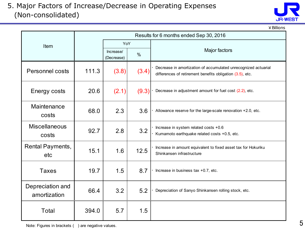#### 5. Major Factors of Increase/Decrease in Operating Expenses (Non-consolidated)



¥Billions

|                                  | Results for 6 months ended Sep 30, 2016 |                         |       |                                                                                                                             |  |  |  |
|----------------------------------|-----------------------------------------|-------------------------|-------|-----------------------------------------------------------------------------------------------------------------------------|--|--|--|
| Item                             |                                         | YoY                     |       |                                                                                                                             |  |  |  |
|                                  |                                         | Increase/<br>(Decrease) | $\%$  | Major factors                                                                                                               |  |  |  |
| <b>Personnel costs</b>           | 111.3                                   | (3.8)                   | (3.4) | Decrease in amortization of accumulated unrecognized actuarial<br>differences of retirement benefits obligation (3.5), etc. |  |  |  |
| Energy costs                     | 20.6                                    | (2.1)                   | (9.3) | Decrease in adjustment amount for fuel cost (2.2), etc.                                                                     |  |  |  |
| Maintenance<br>costs             | 68.0                                    | 2.3                     | 3.6   | Allowance reserve for the large-scale renovation +2.0, etc.                                                                 |  |  |  |
| <b>Miscellaneous</b><br>costs    | 92.7                                    | 2.8                     | 3.2   | Increase in system related costs +0.6<br>Kumamoto earthquake related costs +0.5, etc.                                       |  |  |  |
| Rental Payments,<br>etc          | 15.1                                    | 1.6                     | 12.5  | Increase in amount equivalent to fixed asset tax for Hokuriku<br>Shinkansen infrastructure                                  |  |  |  |
| <b>Taxes</b>                     | 19.7                                    | 1.5                     | 8.7   | Increase in business tax +0.7, etc.                                                                                         |  |  |  |
| Depreciation and<br>amortization | 66.4                                    | 3.2                     | 5.2   | Depreciation of Sanyo Shinkansen rolling stock, etc.                                                                        |  |  |  |
| Total                            | 394.0                                   | 5.7                     | 1.5   |                                                                                                                             |  |  |  |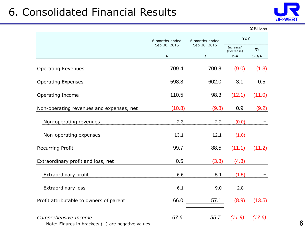## 6. Consolidated Financial Results



|                                          | 6 months ended    | 6 months ended    | YoY                            |                            |  |
|------------------------------------------|-------------------|-------------------|--------------------------------|----------------------------|--|
|                                          | Sep 30, 2015<br>Α | Sep 30, 2016<br>B | Increase/<br>(Decrease)<br>B-A | $\frac{0}{0}$<br>$1 - B/A$ |  |
| <b>Operating Revenues</b>                | 709.4             | 700.3             | (9.0)                          | (1.3)                      |  |
| <b>Operating Expenses</b>                | 598.8             | 602.0             | 3.1                            | 0.5                        |  |
| Operating Income                         | 110.5             | 98.3              | (12.1)                         | (11.0)                     |  |
| Non-operating revenues and expenses, net | (10.8)            | (9.8)             | 0.9                            | (9.2)                      |  |
| Non-operating revenues                   | 2.3               | 2.2               | (0.0)                          |                            |  |
| Non-operating expenses                   | 13.1              | 12.1              | (1.0)                          |                            |  |
| <b>Recurring Profit</b>                  | 99.7              | 88.5              | (11.1)                         | (11.2)                     |  |
| Extraordinary profit and loss, net       | 0.5               | (3.8)             | (4.3)                          |                            |  |
| Extraordinary profit                     | 6.6               | 5.1               | (1.5)                          |                            |  |
| <b>Extraordinary loss</b>                | 6.1               | 9.0               | 2.8                            |                            |  |
| Profit attributable to owners of parent  | 66.0              | 57.1              | (8.9)                          | (13.5)                     |  |
| Comprehensive Income                     | 67.6              | 55.7              | (11.9)                         | (17.6)                     |  |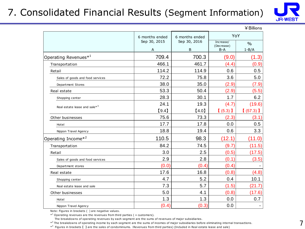### 7. Consolidated Financial Results (Segment Information)



|                                          |                                |                                |                     | ¥ Billions               |
|------------------------------------------|--------------------------------|--------------------------------|---------------------|--------------------------|
|                                          | 6 months ended<br>Sep 30, 2015 | 6 months ended<br>Sep 30, 2016 | YoY<br>Increase/    | $\%$                     |
|                                          | $\overline{A}$                 | B                              | (Decrease)<br>$B-A$ | $1 - B/A$                |
| Operating Revenues $*^1$                 | 709.4                          | 700.3                          | (9.0)               | (1.3)                    |
| Transportation                           | 466.1                          | 461.7                          | (4.4)               | (0.9)                    |
| Retail                                   | 114.2                          | 114.9                          | 0.6                 | 0.5                      |
| Sales of goods and food services         | 72.2                           | 75.8                           | 3.6                 | 5.0                      |
| Department Stores                        | 38.0                           | 35.0                           | (2.9)               | (7.9)                    |
| Real estate                              | 53.3                           | 50.4                           | (2.9)               | (5.5)                    |
| Shopping center                          | 28.3                           | 30.1                           | 1.7                 | 6.2                      |
| Real estate lease and sale* <sup>3</sup> | 24.1                           | 19.3                           | (4.7)               | (19.6)                   |
|                                          | [9.4]                          | [4.0]                          | $(5.3)$ ]           | $(57.3)$ ]               |
| Other businesses                         | 75.6                           | 73.3                           | (2.3)               | (3.1)                    |
| Hotel                                    | 17.7                           | 17.8                           | 0.0                 | 0.5                      |
| Nippon Travel Agency                     | 18.8                           | 19.4                           | 0.6                 | 3.3                      |
| Operating Income* <sup>2</sup>           | 110.5                          | 98.3                           | (12.1)              | (11.0)                   |
| Transportation                           | 84.2                           | 74.5                           | (9.7)               | (11.5)                   |
| Retail                                   | 3.0                            | 2.5                            | (0.5)               | (17.5)                   |
| Sales of goods and food services         | 2.9                            | 2.8                            | (0.1)               | (3.5)                    |
| Department stores                        | (0.0)                          | (0.4)                          | (0.4)               |                          |
| Real estate                              | 17.6                           | 16.8                           | (0.8)               | (4.8)                    |
| Shopping center                          | 4.7                            | 5.2                            | 0.4                 | 10.1                     |
| Real estate lease and sale               | 7.3                            | 5.7                            | (1.5)               | (21.7)                   |
| Other businesses                         | 5.0                            | 4.1                            | (0.8)               | (17.6)                   |
| Hotel                                    | 1.3                            | 1.3                            | 0.0                 | 0.7                      |
| Nippon Travel Agency                     | (0.4)                          | (0.3)                          | 0.0                 | $\overline{\phantom{a}}$ |

Note: Figures in brackets ( ) are negative values.

 $*$ <sup>1</sup> Operating revenues are the revenues from third parties ( = customers).

The breakdowns of operating revenues by each segment are the sums of revenues of major subsidiaries.

 $*^2$  The breakdowns of operating income by each segment are the sums of incomes of major subsidiaries before eliminating internal transactions.

\*<sup>3</sup> Figures in brackets [ ] are the sales of condominiums. (Revenues from third parties) (Included in Real estate lease and sale)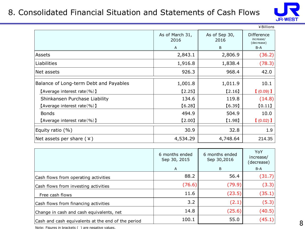#### 8. Consolidated Financial Situation and Statements of Cash Flows



|                                        |                         |                       | ¥ Billions |
|----------------------------------------|-------------------------|-----------------------|------------|
|                                        | As of March 31,<br>2016 | As of Sep 30,<br>2016 |            |
|                                        | $\mathsf{A}$            | B                     | B-A        |
| Assets                                 | 2,843.1                 | 2,806.9               | (36.2)     |
| <b>Liabilities</b>                     | 1,916.8                 | 1,838.4               | (78.3)     |
| Net assets                             | 926.3                   | 968.4                 | 42.0       |
| Balance of Long-term Debt and Payables | 1,001.8                 | 1,011.9               | 10.1       |
| [Average interest rate(%)]             | $[2.25]$                | $[2.16]$              | $(0.09)$ ] |
| Shinkansen Purchase Liability          | 134.6                   | 119.8                 | (14.8)     |
| [Average interest rate $(\% )$ ]       | [6.28]                  | [6.39]                | [0.11]     |
| <b>Bonds</b>                           | 494.9                   | 504.9                 | 10.0       |
| [Average interest rate $(\% )$ ]       | [2.00]                  | [1.98]                | $(0.02)$ 1 |
| Equity ratio $(\%)$                    | 30.9                    | 32.8                  | 1.9        |
| Net assets per share $(*)$             | 4,534.29                | 4,748.64              | 214.35     |

| 6 months ended<br>Sep 30, 2015 | 6 months ended<br>Sep 30,2016 | YoY<br>increase/<br>(decrease) |
|--------------------------------|-------------------------------|--------------------------------|
| A                              | B                             | $B-A$                          |
| 88.2                           | 56.4                          | (31.7)                         |
| (76.6)                         | (79.9)                        | (3.3)                          |
| 11.6                           | (23.5)                        | (35.1)                         |
| 3.2                            | (2.1)                         | (5.3)                          |
| 14.8                           | (25.6)                        | (40.5)                         |
| 100.1                          | 55.0                          | (45.1)                         |
|                                |                               |                                |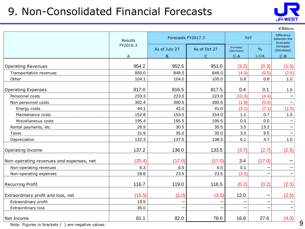## 9. Non-Consolidated Financial Forecasts



¥Billions

|                                          | Results  | Forecasts FY2017.3 |              | YoY                     | <b>Difference</b><br>between the<br>forecasts |                         |
|------------------------------------------|----------|--------------------|--------------|-------------------------|-----------------------------------------------|-------------------------|
|                                          | FY2016.3 | As of July 27      | As of Oct 27 | Increase/<br>(Decrease) | $\frac{0}{0}$                                 | Increase/<br>(Decrease) |
|                                          | Δ        | B.                 | $\subset$    | $C - A$                 | $1-C/A$                                       | $C - B$                 |
|                                          |          |                    |              |                         |                                               |                         |
| <b>Operating Revenues</b>                | 954.2    | 952.5              | 951.0        | (3.2)                   | (0.3)                                         | (1.5)                   |
| Transportation revenues                  | 850.0    | 848.5              | 846.0        | (4.0)                   | (0.5)                                         | (2.5)                   |
| Other                                    | 104.1    | 104.0              | 105.0        | 0.8                     | 0.8                                           | 1.0                     |
| <b>Operating Expenses</b>                | 817.0    | 816.5              | 817.5        | 0.4                     | 0.1                                           | 1.0                     |
| Personnel costs                          | 233.3    | 223.0              | 223.0        | (10.3)                  | (4.4)                                         |                         |
| Non personnel costs                      | 392.4    | 390.5              | 390.5        | (1.9)                   | (0.5)                                         |                         |
| Energy costs                             | 44.1     | 42.0               | 41.0         | (3.1)                   | (7.1)                                         | (1.0)                   |
| Maintenance costs                        | 152.8    | 153.0              | 154.0        | 1.1                     | 0.7                                           | 1.0                     |
| Miscellaneous costs                      | 195.4    | 195.5              | 195.5        | 0.0                     | 0.0                                           |                         |
| Rental payments, etc.                    | 26.9     | 30.5               | 30.5         | 3.5                     | 13.2                                          |                         |
| Taxes                                    | 31.9     | 35.0               | 35.0         | 3.0                     | 9.5                                           |                         |
| Depreciation                             | 132.3    | 137.5              | 138.5        | 6.1                     | 4.7                                           | 1.0                     |
| Operating Income                         | 137.2    | 136.0              | 133.5        | (3.7)                   | (2.7)                                         | (2.5)                   |
| Non-operating revenues and expenses, net | (20.4)   | (17.0)             | (17.0)       | 3.4                     | (17.0)                                        |                         |
| Non-operating revenues                   | 6.3      | 6.5                | 6.5          | 0.1                     |                                               |                         |
| Non-operating expenses                   | 26.8     | 23.5               | 23.5         | (3.3)                   |                                               |                         |
| <b>Recurring Profit</b>                  | 116.7    | 119.0              | 116.5        | (0.2)                   | (0.2)                                         | (2.5)                   |
| Extraordinary profit and loss, net       | (15.5)   | (1.0)              | (3.5)        | 12.0                    |                                               | (2.5)                   |
| Extraordinary profit                     | 19.5     |                    |              |                         |                                               |                         |
| Extraordinary loss                       | 35.0     |                    |              |                         |                                               |                         |
| Net Income                               | 61.1     | 82.0               | 78.0         | 16.8                    | 27.6                                          | (4.0)                   |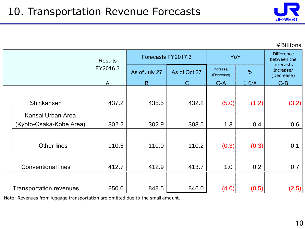

¥Billions

|  |                                | <b>Results</b> | Forecasts FY2017.3 |              |                         | YoY           |                                      |  |
|--|--------------------------------|----------------|--------------------|--------------|-------------------------|---------------|--------------------------------------|--|
|  |                                | FY2016.3       | As of July 27      | As of Oct 27 | Increase/<br>(Decrease) | $\frac{0}{0}$ | forecasts<br>Increase/<br>(Decrease) |  |
|  |                                | A              | B.                 |              | $C-A$                   | $1-C/A$       | $C-B$                                |  |
|  |                                |                |                    |              |                         |               |                                      |  |
|  | Shinkansen                     | 437.2          | 435.5              | 432.2        | (5.0)                   | (1.2)         | (3.2)                                |  |
|  | Kansai Urban Area              |                |                    |              |                         |               |                                      |  |
|  | (Kyoto-Osaka-Kobe Area)        | 302.2          | 302.9              | 303.5        | 1.3                     | 0.4           | 0.6                                  |  |
|  |                                |                |                    |              |                         |               |                                      |  |
|  | <b>Other lines</b>             | 110.5          | 110.0              | 110.2        | (0.3)                   | (0.3)         | 0.1                                  |  |
|  |                                |                |                    |              |                         |               |                                      |  |
|  | <b>Conventional lines</b>      | 412.7          | 412.9              | 413.7        | 1.0                     | 0.2           | 0.7                                  |  |
|  |                                |                |                    |              |                         |               |                                      |  |
|  | <b>Transportation revenues</b> | 850.0          | 848.5              | 846.0        | (4.0)                   | (0.5)         | (2.5)                                |  |

Note: Revenues from luggage transportation are omitted due to the small amount.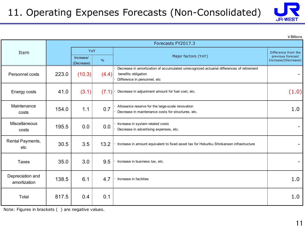

|                                  |                    |                                        |       |                                                                                                                                                 | ¥ Billions                                                      |  |  |  |
|----------------------------------|--------------------|----------------------------------------|-------|-------------------------------------------------------------------------------------------------------------------------------------------------|-----------------------------------------------------------------|--|--|--|
|                                  | Forecasts FY2017.3 |                                        |       |                                                                                                                                                 |                                                                 |  |  |  |
| Item                             |                    | YoY<br>Increase/<br>$\%$<br>(Decrease) |       | Major factors (YoY)                                                                                                                             | Difference from the<br>previous forecast<br>Increase/(Decrease) |  |  |  |
| Personnel costs                  | 223.0              | (10.3)                                 | (4.4) | Decrease in amortization of accumulated unrecognized actuarial differences of retirement<br>benefits obligation<br>Difference in personnel, etc |                                                                 |  |  |  |
| Energy costs                     | 41.0               | (3.1)                                  | (7.1) | Decrease in adjustment amount for fuel cost, etc.                                                                                               | (1.0)                                                           |  |  |  |
| Maintenance<br>costs             | 154.0              | 1.1                                    | 0.7   | Allowance reserve for the large-scale renovation<br>Decrease in maintenance costs for structures, etc.                                          | 1.0                                                             |  |  |  |
| Miscellaneous<br>costs           | 195.5              | 0.0                                    | 0.0   | Increase in system related costs<br>Decrease in advertising expenses, etc.                                                                      |                                                                 |  |  |  |
| Rental Payments,<br>etc          | 30.5               | 3.5                                    | 13.2  | Increase in amount equivalent to fixed asset tax for Hokuriku Shinkansen infrastructure                                                         |                                                                 |  |  |  |
| <b>Taxes</b>                     | 35.0               | 3.0                                    | 9.5   | Increase in business tax, etc.                                                                                                                  |                                                                 |  |  |  |
| Depreciation and<br>amortization | 138.5              | 6.1                                    | 4.7   | Increase in facilities                                                                                                                          | 1.0                                                             |  |  |  |
| Total                            | 817.5              | 0.4                                    | 0.1   |                                                                                                                                                 | 1.0                                                             |  |  |  |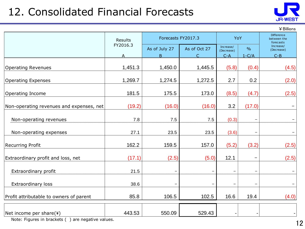## 12. Consolidated Financial Forecasts



¥Billions

|                                          | Results                 | Forecasts FY2017.3 |              |                         | YoY                      | <b>Difference</b><br>between the<br>forecasts |  |
|------------------------------------------|-------------------------|--------------------|--------------|-------------------------|--------------------------|-----------------------------------------------|--|
|                                          | FY2016.3                | As of July 27      | As of Oct 27 | Increase/<br>(Decrease) | $\frac{0}{0}$            | Increase/<br>(Decrease)                       |  |
|                                          | $\overline{\mathsf{A}}$ | B.                 | C            | $C - A$                 | $1-C/A$                  | $C - B$                                       |  |
| <b>Operating Revenues</b>                | 1,451.3                 | 1,450.0            | 1,445.5      | (5.8)                   | (0.4)                    | (4.5)                                         |  |
| <b>Operating Expenses</b>                | 1,269.7                 | 1,274.5            | 1,272.5      | 2.7                     | 0.2                      | (2.0)                                         |  |
| Operating Income                         | 181.5                   | 175.5              | 173.0        | (8.5)                   | (4.7)                    | (2.5)                                         |  |
| Non-operating revenues and expenses, net | (19.2)                  | (16.0)             | (16.0)       | 3.2                     | (17.0)                   |                                               |  |
| Non-operating revenues                   | 7.8                     | 7.5                | 7.5          | (0.3)                   | —                        |                                               |  |
| Non-operating expenses                   | 27.1                    | 23.5               | 23.5         | (3.6)                   | -                        |                                               |  |
| <b>Recurring Profit</b>                  | 162.2                   | 159.5              | 157.0        | (5.2)                   | (3.2)                    | (2.5)                                         |  |
| Extraordinary profit and loss, net       | (17.1)                  | (2.5)              | (5.0)        | 12.1                    | $\overline{\phantom{0}}$ | (2.5)                                         |  |
| Extraordinary profit                     | 21.5                    |                    |              | $\qquad \qquad$         | -                        |                                               |  |
| <b>Extraordinary loss</b>                | 38.6                    |                    |              | $\qquad \qquad$         | $\overline{\phantom{0}}$ |                                               |  |
| Profit attributable to owners of parent  | 85.8                    | 106.5              | 102.5        | 16.6                    | 19.4                     | (4.0)                                         |  |
| Net income per share(¥)                  | 443.53                  | 550.09             | 529.43       |                         |                          |                                               |  |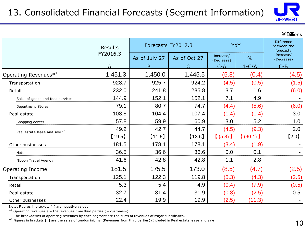

¥Billions

|                                          | Results  | Forecasts FY2017.3 |              | YoY       |               | <b>Difference</b><br>between the<br>forecasts |  |
|------------------------------------------|----------|--------------------|--------------|-----------|---------------|-----------------------------------------------|--|
|                                          | FY2016.3 | As of July 27      | As of Oct 27 |           | $\frac{0}{0}$ | Increase/<br>(Decrease)                       |  |
|                                          | A        | B.                 |              | $C-A$     | $1-C/A$       | $C - B$                                       |  |
| Operating Revenues <sup>*1</sup>         | 1,451.3  | 1,450.0            | 1,445.5      | (5.8)     | (0.4)         | (4.5)                                         |  |
| Transportation                           | 928.7    | 925.7              | 924.2        | (4.5)     | (0.5)         | (1.5)                                         |  |
| Retail                                   | 232.0    | 241.8              | 235.8        | 3.7       | 1.6           | (6.0)                                         |  |
| Sales of goods and food services         | 144.9    | 152.1              | 152.1        | 7.1       | 4.9           |                                               |  |
| Department Stores                        | 79.1     | 80.7               | 74.7         | (4.4)     | (5.6)         | (6.0)                                         |  |
| Real estate                              | 108.8    | 104.4              | 107.4        | (1.4)     | (1.4)         | 3.0                                           |  |
| Shopping center                          | 57.8     | 59.9               | 60.9         | 3.0       | 5.2           | 1.0                                           |  |
| Real estate lease and sale* <sup>2</sup> | 49.2     | 42.7               | 44.7         | (4.5)     | (9.3)         | 2.0                                           |  |
|                                          | [19.5]   | [11.6]             | [13.6]       | $(5.8)$ ] | (30.1)        | [2.0]                                         |  |
| Other businesses                         | 181.5    | 178.1              | 178.1        | (3.4)     | (1.9)         |                                               |  |
| Hotel                                    | 36.5     | 36.6               | 36.6         | 0.0       | 0.1           |                                               |  |
| Nippon Travel Agency                     | 41.6     | 42.8               | 42.8         | 1.1       | 2.8           | $\sim$                                        |  |
| Operating Income                         | 181.5    | 175.5              | 173.0        | (8.5)     | (4.7)         | (2.5)                                         |  |
| Transportation                           | 125.1    | 122.3              | 119.8        | (5.3)     | (4.3)         | (2.5)                                         |  |
| Retail                                   | 5.3      | 5.4                | 4.9          | (0.4)     | (7.9)         | (0.5)                                         |  |
| Real estate                              | 32.7     | 31.4               | 31.9         | (0.8)     | (2.5)         | 0.5                                           |  |
| Other businesses                         | 22.4     | 19.9               | 19.9         | (2.5)     | (11.3)        |                                               |  |

Note: Figures in brackets ( ) are negative values.

 $*$ <sup>1</sup> Operating revenues are the revenues from third parties ( = customers).

The breakdowns of operating revenues by each segment are the sums of revenues of major subsidiaries.

\*<sup>2</sup> Figures in brackets 【 】 are the sales of condominiums. (Revenues from third parties) (Included in Real estate lease and sale)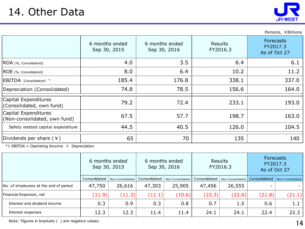

Persons, ¥Billions ROA (%, Consolidated) ROE (%, Consolidated)  $EBITDA$  (Consolidated)<sup>\*1</sup> Depreciation (Consolidated) 40.5 70 6 months ended Sep 30, 2016 3.5 6.4 176.8 78.5 72.4 44.5 40.5 40.5 126.0 Safety related capital expenditure 140 104.5 Dividends per share  $(\frac{4}{3})$   $\qquad$   $\qquad$  65  $\qquad$  70  $\qquad$  135 198.7 163.0 193.0 Capital Expenditures (Non-consolidated, own fund) 67.5 Capital Expenditures  $\begin{array}{c|c|c|c|c|c} \text{Capical Chapters} & & & \text{79.2} & & \text{72.4} & \text{72.3.1} \end{array}$ 57.7  $8.0$  | 6.4 | 10.2 | 11.2 185.4 176.8 338.1 338.1 74.8 | 78.5 | 156.6 | 156.7 | 164.0 6 months ended Sep 30, 2015 Results FY2016.3 Forecasts FY2017.3 As of Oct 27  $4.0$  | 3.5 | 6.4 | 6.1

 $*1$  EBITDA = Operating Income + Depreciation

|                                       |              | 6 months ended<br>Sep 30, 2015 | 6 months ended<br>Sep 30, 2016 |                  | <b>Results</b><br>FY2016.3 |                  | Forecasts<br>FY2017.3<br>As of Oct 27 |                  |
|---------------------------------------|--------------|--------------------------------|--------------------------------|------------------|----------------------------|------------------|---------------------------------------|------------------|
|                                       | Consolidated | Non-Consolidated               | Consolidated                   | Non-Consolidated | Consolidated               | Non-Consolidated | Consolidated                          | Non-Consolidated |
| No. of employees at the end of period | 47,750       | 26,616                         | 47,303                         | 25,905           | 47,456                     | 26,555           |                                       |                  |
| Financial Expenses, net               | (11.9)       | (11.3)                         | (11.1)                         | (10.6)           | (23.3)                     | (22.6)           | (21.8)                                | (21.1)           |
| Interest and dividend income          | 0.3          | 0.9 <sub>0</sub>               | 0.3                            | 0.8              | 0.7                        | 1.5              | 0.6                                   | 1.1              |
| Interest expenses                     | 12.3         | 12.3                           | 11.4                           | 11.4             | 24.1                       | 24.1             | 22.4                                  | 22.3             |